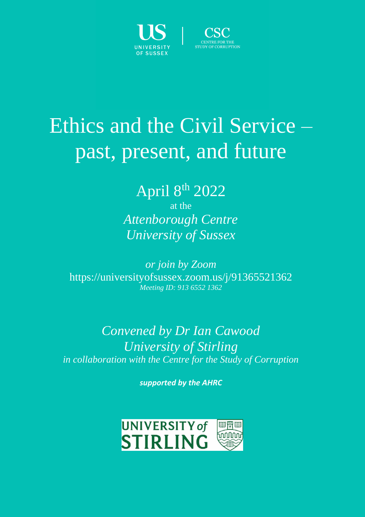



# Ethics and the Civil Service – past, present, and future

## April 8<sup>th</sup> 2022

at the *Attenborough Centre University of Sussex*

*or join by Zoom* https://universityofsussex.zoom.us/j/91365521362 *Meeting ID: 913 6552 1362*

#### *Convened by Dr Ian Cawood University of Stirling in collaboration with the Centre for the Study of Corruption*

*supported by the AHRC*